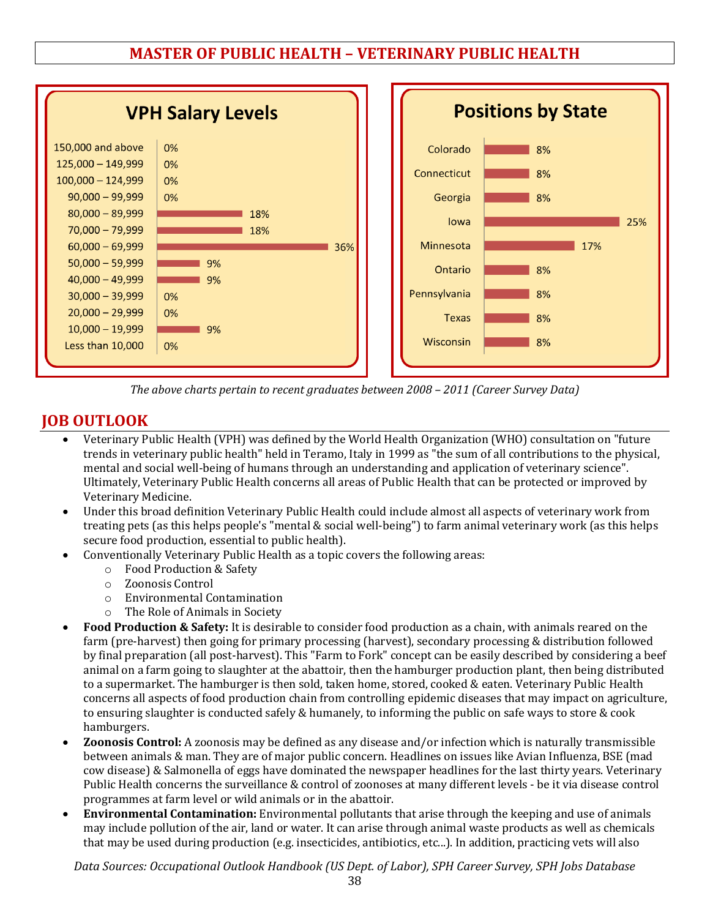# **MASTER OF PUBLIC HEALTH – VETERINARY PUBLIC HEALTH**



*The above charts pertain to recent graduates between 2008 – 2011 (Career Survey Data)*

# **JOB OUTLOOK**

- Veterinary Public Health (VPH) was defined by the World Health Organization (WHO) consultation on "future trends in veterinary public health" held in Teramo, Italy in 1999 as "the sum of all contributions to the physical, mental and social well-being of humans through an understanding and application of veterinary science". Ultimately, Veterinary Public Health concerns all areas of Public Health that can be protected or improved by Veterinary Medicine.
- Under this broad definition Veterinary Public Health could include almost all aspects of veterinary work from treating pets (as this helps people's "mental & social well-being") to farm animal veterinary work (as this helps secure food production, essential to public health).
- Conventionally Veterinary Public Health as a topic covers the following areas:
	- o Food Production & Safety
	- o Zoonosis Control
	- o Environmental Contamination
	- o The Role of Animals in Society
- **Food Production & Safety:** It is desirable to consider food production as a chain, with animals reared on the farm (pre-harvest) then going for primary processing (harvest), secondary processing & distribution followed by final preparation (all post-harvest). This "Farm to Fork" concept can be easily described by considering a beef animal on a farm going to slaughter at the abattoir, then the hamburger production plant, then being distributed to a supermarket. The hamburger is then sold, taken home, stored, cooked & eaten. Veterinary Public Health concerns all aspects of food production chain from controlling epidemic diseases that may impact on agriculture, to ensuring slaughter is conducted safely & humanely, to informing the public on safe ways to store & cook hamburgers.
- **Zoonosis Control:** A zoonosis may be defined as any disease and/or infection which is naturally transmissible between animals & man. They are of major public concern. Headlines on issues like Avian Influenza, BSE (mad cow disease) & Salmonella of eggs have dominated the newspaper headlines for the last thirty years. Veterinary Public Health concerns the surveillance & control of zoonoses at many different levels - be it via disease control programmes at farm level or wild animals or in the abattoir.
- **Environmental Contamination:** Environmental pollutants that arise through the keeping and use of animals may include pollution of the air, land or water. It can arise through animal waste products as well as chemicals that may be used during production (e.g. insecticides, antibiotics, etc...). In addition, practicing vets will also

*Data Sources: Occupational Outlook Handbook (US Dept. of Labor), SPH Career Survey, SPH Jobs Database*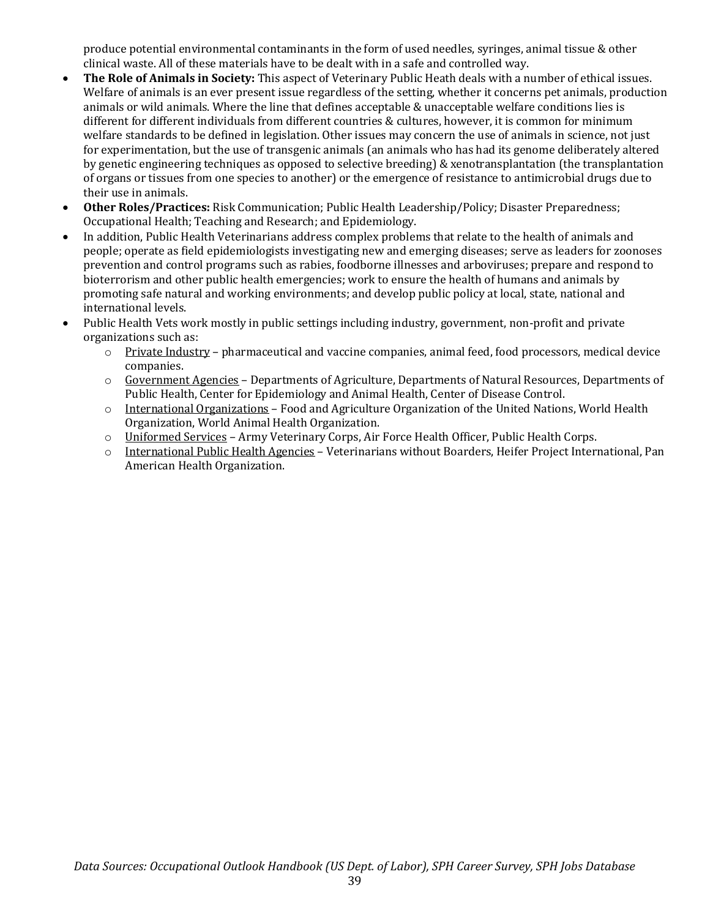produce potential environmental contaminants in the form of used needles, syringes, animal tissue & other clinical waste. All of these materials have to be dealt with in a safe and controlled way.

- **The Role of Animals in Society:** This aspect of Veterinary Public Heath deals with a number of ethical issues. Welfare of animals is an ever present issue regardless of the setting, whether it concerns pet animals, production animals or wild animals. Where the line that defines acceptable & unacceptable welfare conditions lies is different for different individuals from different countries & cultures, however, it is common for minimum welfare standards to be defined in legislation. Other issues may concern the use of animals in science, not just for experimentation, but the use of transgenic animals (an animals who has had its genome deliberately altered by genetic engineering techniques as opposed to selective breeding) & xenotransplantation (the transplantation of organs or tissues from one species to another) or the emergence of resistance to antimicrobial drugs due to their use in animals.
- **Other Roles/Practices:** Risk Communication; Public Health Leadership/Policy; Disaster Preparedness; Occupational Health; Teaching and Research; and Epidemiology.
- In addition, Public Health Veterinarians address complex problems that relate to the health of animals and people; operate as field epidemiologists investigating new and emerging diseases; serve as leaders for zoonoses prevention and control programs such as rabies, foodborne illnesses and arboviruses; prepare and respond to bioterrorism and other public health emergencies; work to ensure the health of humans and animals by promoting safe natural and working environments; and develop public policy at local, state, national and international levels.
- Public Health Vets work mostly in public settings including industry, government, non-profit and private organizations such as:
	- $\circ$  Private Industry pharmaceutical and vaccine companies, animal feed, food processors, medical device companies.
	- $\circ$  Government Agencies Departments of Agriculture, Departments of Natural Resources, Departments of Public Health, Center for Epidemiology and Animal Health, Center of Disease Control.
	- $\circ$  International Organizations Food and Agriculture Organization of the United Nations, World Health Organization, World Animal Health Organization.
	- o Uniformed Services Army Veterinary Corps, Air Force Health Officer, Public Health Corps.
	- o International Public Health Agencies Veterinarians without Boarders, Heifer Project International, Pan American Health Organization.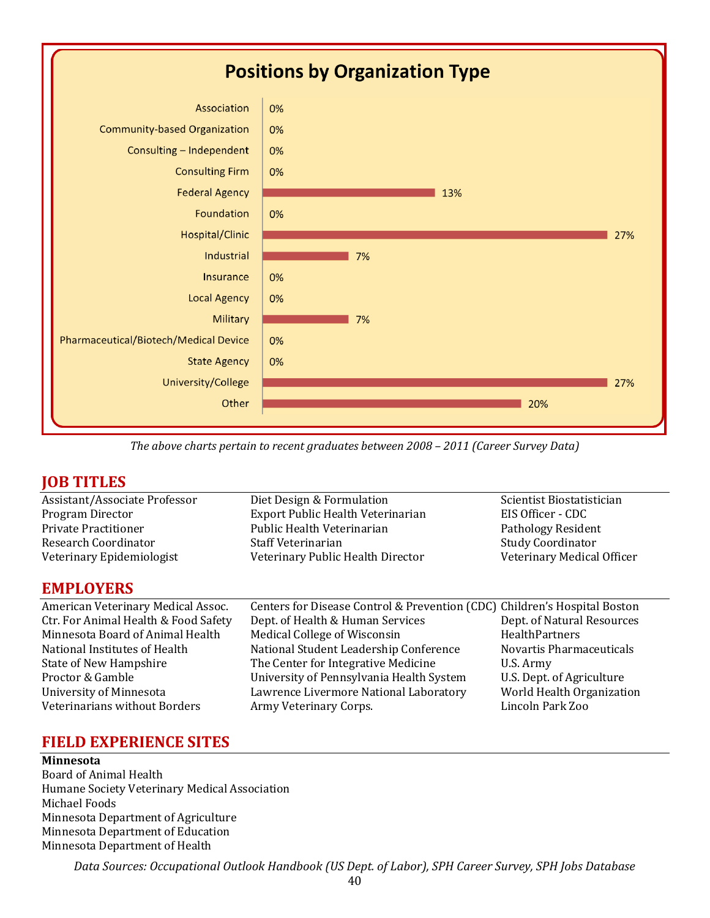

*The above charts pertain to recent graduates between 2008 – 2011 (Career Survey Data)*

# **JOB TITLES**

| Assistant/Associate Professor | Diet Design & Formulation         | Scientist Biostatistician  |
|-------------------------------|-----------------------------------|----------------------------|
| Program Director              | Export Public Health Veterinarian | EIS Officer - CDC          |
| Private Practitioner          | Public Health Veterinarian        | Pathology Resident         |
| Research Coordinator          | Staff Veterinarian                | <b>Study Coordinator</b>   |
| Veterinary Epidemiologist     | Veterinary Public Health Director | Veterinary Medical Officer |
|                               |                                   |                            |

# **EMPLOYERS**

American Veterinary Medical Assoc. Centers for Disease Control & Prevention (CDC) Children's Hospital Boston Ctr. For Animal Health & Food Safety Dept. of Health & Human Services Dept. of Natural Resources Minnesota Board of Animal Health Medical College of Wisconsin HealthPartners National Institutes of Health National Student Leadership Conference Novartis Pharmaceuticals State of New Hampshire The Center for Integrative Medicine U.S. Army Proctor & Gamble University of Pennsylvania Health System U.S. Dept. of Agriculture University of Minnesota Lawrence Livermore National Laboratory World Health Organization Veterinarians without Borders Army Veterinary Corps. Lincoln Park Zoo

# **FIELD EXPERIENCE SITES**

#### **Minnesota**

Board of Animal Health Humane Society Veterinary Medical Association Michael Foods Minnesota Department of Agriculture Minnesota Department of Education Minnesota Department of Health

*Data Sources: Occupational Outlook Handbook (US Dept. of Labor), SPH Career Survey, SPH Jobs Database*